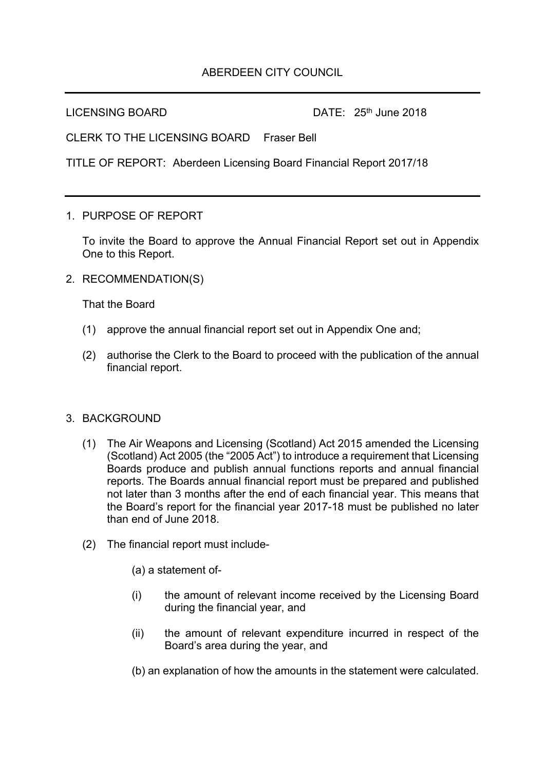## ABERDEEN CITY COUNCIL

LICENSING BOARD DATE: 25<sup>th</sup> June 2018

CLERK TO THE LICENSING BOARD Fraser Bell

TITLE OF REPORT: Aberdeen Licensing Board Financial Report 2017/18

1. PURPOSE OF REPORT

To invite the Board to approve the Annual Financial Report set out in Appendix One to this Report.

2. RECOMMENDATION(S)

That the Board

- (1) approve the annual financial report set out in Appendix One and;
- (2) authorise the Clerk to the Board to proceed with the publication of the annual financial report.

## 3. BACKGROUND

- (1) The Air Weapons and Licensing (Scotland) Act 2015 amended the Licensing (Scotland) Act 2005 (the "2005 Act") to introduce a requirement that Licensing Boards produce and publish annual functions reports and annual financial reports. The Boards annual financial report must be prepared and published not later than 3 months after the end of each financial year. This means that the Board's report for the financial year 2017-18 must be published no later than end of June 2018.
- (2) The financial report must include-
	- (a) a statement of-
	- (i) the amount of relevant income received by the Licensing Board during the financial year, and
	- (ii) the amount of relevant expenditure incurred in respect of the Board's area during the year, and
	- (b) an explanation of how the amounts in the statement were calculated.